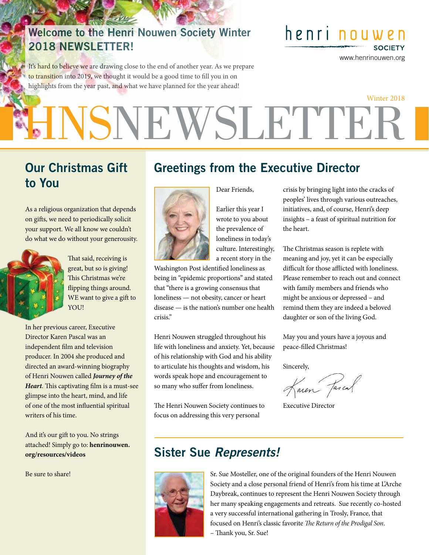#### Welcome to the Henri Nouwen Society Winter 2018 NEWSLETTER!

It's hard to believe we are drawing close to the end of another year. As we prepare to transition into 2019, we thought it would be a good time to fill you in on highlights from the year past, and what we have planned for the year ahead!

henri nouwen

www.henrinouwen.org

**SOCIETY** 

# **HNSNEWSLETTEF** Winter 2018

#### Our Christmas Gift to You

As a religious organization that depends on gifts, we need to periodically solicit your support. We all know we couldn't do what we do without your generousity.



That said, receiving is great, but so is giving! This Christmas we're flipping things around. WE want to give a gift to YOU!

In her previous career, Executive Director Karen Pascal was an independent film and television producer. In 2004 she produced and directed an award-winning biography of Henri Nouwen called *Journey of the Heart*. This captivating film is a must-see glimpse into the heart, mind, and life of one of the most influential spiritual writers of his time.

And it's our gift to you. No strings attached! Simply go to: **henrinouwen. org/resources/videos**

Be sure to share!

## Greetings from the Executive Director



Earlier this year I wrote to you about the prevalence of loneliness in today's culture. Interestingly, a recent story in the

Dear Friends,

Washington Post identified loneliness as being in "epidemic proportions" and stated that "there is a growing consensus that loneliness — not obesity, cancer or heart disease — is the nation's number one health crisis."

Henri Nouwen struggled throughout his life with loneliness and anxiety. Yet, because of his relationship with God and his ability to articulate his thoughts and wisdom, his words speak hope and encouragement to so many who suffer from loneliness.

The Henri Nouwen Society continues to focus on addressing this very personal

crisis by bringing light into the cracks of peoples' lives through various outreaches, initiatives, and, of course, Henri's deep insights – a feast of spiritual nutrition for the heart.

The Christmas season is replete with meaning and joy, yet it can be especially difficult for those afflicted with loneliness. Please remember to reach out and connect with family members and friends who might be anxious or depressed – and remind them they are indeed a beloved daughter or son of the living God.

May you and yours have a joyous and peace-filled Christmas!

Sincerely,

Karen Jascal

Executive Director

#### Sister Sue *Represents!*



Sr. Sue Mosteller, one of the original founders of the Henri Nouwen Society and a close personal friend of Henri's from his time at L'Arche Daybreak, continues to represent the Henri Nouwen Society through her many speaking engagements and retreats. Sue recently co-hosted a very successful international gathering in Trosly, France, that focused on Henri's classic favorite *The Return of the Prodigal Son*. – Thank you, Sr. Sue!